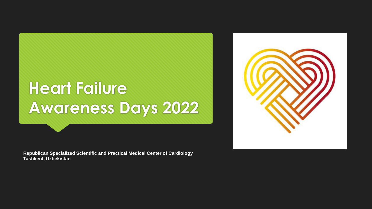## **Heart Failure Awareness Days 2022**

**Republican Specialized Scientific and Practical Medical Center of Cardiology Tashkent, Uzbekistan**

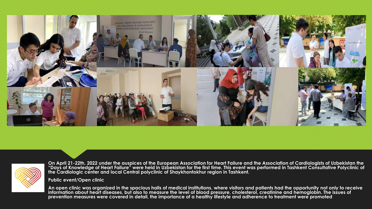



**On April 21-22th, 2022 under the auspices of the European Association for Heart Failure and the Association of Cardiologists of Uzbekistan the "Days of Knowledge of Heart Failure" were held in Uzbekistan for the first time. This event was performed in Tashkent Consultative Polyclinic of the Cardiologic center and local Central polyclinic of Shaykhontokhur region in Tashkent.**

**Public event/Open clinic** 

**An open clinic was organized in the spacious halls of medical institutions, where visitors and patients had the opportunity not only to receive information about heart diseases, but also to measure the level of blood pressure, cholesterol, creatinine and hemoglobin. The issues of prevention measures were covered in detail, the importance of a healthy lifestyle and adherence to treatment were promoted**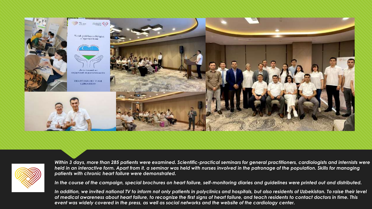



*Within 3 days, more than 285 patients were examined. Scientific-practical seminars for general practitioners, cardiologists and internists were held in an interactive form. Apart from it, a seminar was held with nurses involved in the patronage of the population. Skills for managing patients with chronic heart failure were demonstrated.*

*In the course of the campaign, special brochures on heart failure, self-monitoring diaries and guidelines were printed out and distributed.*

In addition, we invited national TV to inform not only patients in polyclinics and hospitals, but also residents of Uzbekistan. To raise their level of medical awareness about heart failure, to recognize the first signs of heart failure, and teach residents to contact doctors in time. This event was widely covered in the press, as well as social networks and the website of the cardiology center.